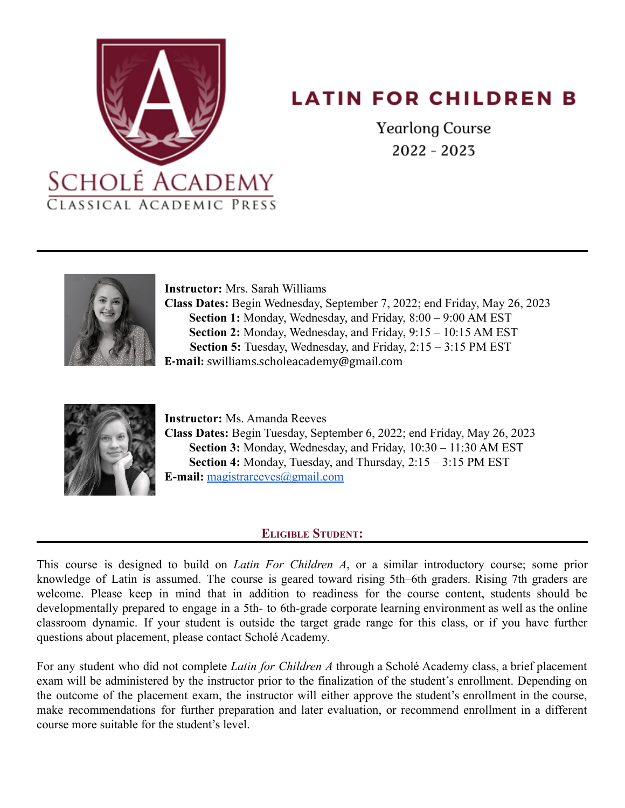

# **LATIN FOR CHILDREN B**

**Yearlong Course**  $2022 - 2023$ 



**Instructor:** Mrs. Sarah Williams **Class Dates:** Begin Wednesday, September 7, 2022; end Friday, May 26, 2023 **Section 1:** Monday, Wednesday, and Friday, 8:00 – 9:00 AM EST **Section 2:** Monday, Wednesday, and Friday, 9:15 – 10:15 AM EST **Section 5:** Tuesday, Wednesday, and Friday, 2:15 – 3:15 PM EST **E-mail:** swilliams.scholeacademy@gmail.com



**Instructor:** Ms. Amanda Reeves **Class Dates:** Begin Tuesday, September 6, 2022; end Friday, May 26, 2023 **Section 3:** Monday, Wednesday, and Friday, 10:30 – 11:30 AM EST **Section 4:** Monday, Tuesday, and Thursday, 2:15 – 3:15 PM EST **E-mail:** [magistrareeves@gmail.com](mailto:magistrareeves@gmail.com)

# **ELIGIBLE STUDENT:**

This course is designed to build on *Latin For Children A*, or a similar introductory course; some prior knowledge of Latin is assumed. The course is geared toward rising 5th–6th graders. Rising 7th graders are welcome. Please keep in mind that in addition to readiness for the course content, students should be developmentally prepared to engage in a 5th- to 6th-grade corporate learning environment as well as the online classroom dynamic. If your student is outside the target grade range for this class, or if you have further questions about placement, please contact Scholé Academy.

For any student who did not complete *Latin for Children A* through a Scholé Academy class, a brief placement exam will be administered by the instructor prior to the finalization of the student's enrollment. Depending on the outcome of the placement exam, the instructor will either approve the student's enrollment in the course, make recommendations for further preparation and later evaluation, or recommend enrollment in a different course more suitable for the student's level.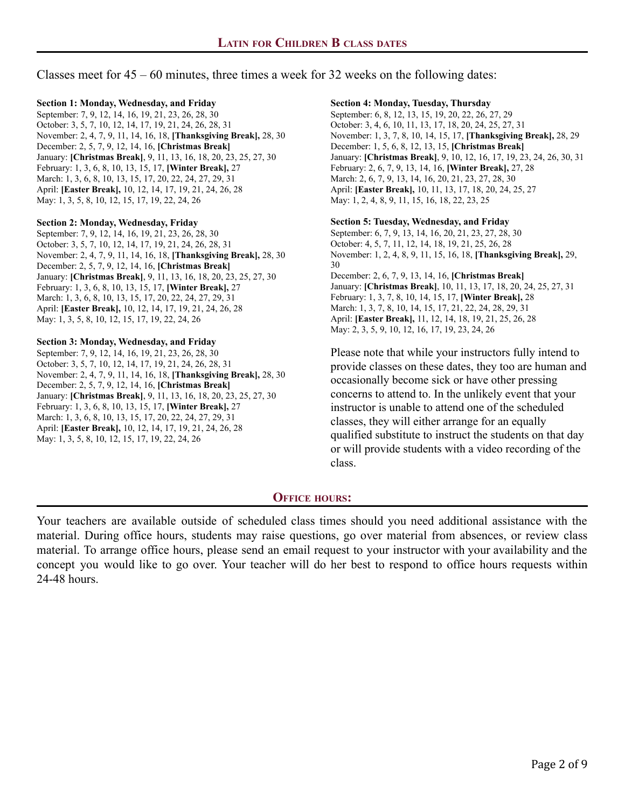# Classes meet for 45 – 60 minutes, three times a week for 32 weeks on the following dates:

### **Section 1: Monday, Wednesday, and Friday**

September: 7, 9, 12, 14, 16, 19, 21, 23, 26, 28, 30 October: 3, 5, 7, 10, 12, 14, 17, 19, 21, 24, 26, 28, 31 November: 2, 4, 7, 9, 11, 14, 16, 18, **[Thanksgiving Break],** 28, 30 December: 2, 5, 7, 9, 12, 14, 16, **[Christmas Break]** January: **[Christmas Break]**, 9, 11, 13, 16, 18, 20, 23, 25, 27, 30 February: 1, 3, 6, 8, 10, 13, 15, 17, **[Winter Break],** 27 March: 1, 3, 6, 8, 10, 13, 15, 17, 20, 22, 24, 27, 29, 31 April: **[Easter Break],** 10, 12, 14, 17, 19, 21, 24, 26, 28 May: 1, 3, 5, 8, 10, 12, 15, 17, 19, 22, 24, 26

#### **Section 2: Monday, Wednesday, Friday**

September: 7, 9, 12, 14, 16, 19, 21, 23, 26, 28, 30 October: 3, 5, 7, 10, 12, 14, 17, 19, 21, 24, 26, 28, 31 November: 2, 4, 7, 9, 11, 14, 16, 18, **[Thanksgiving Break],** 28, 30 December: 2, 5, 7, 9, 12, 14, 16, **[Christmas Break]** January: **[Christmas Break]**, 9, 11, 13, 16, 18, 20, 23, 25, 27, 30 February: 1, 3, 6, 8, 10, 13, 15, 17, **[Winter Break],** 27 March: 1, 3, 6, 8, 10, 13, 15, 17, 20, 22, 24, 27, 29, 31 April: **[Easter Break],** 10, 12, 14, 17, 19, 21, 24, 26, 28 May: 1, 3, 5, 8, 10, 12, 15, 17, 19, 22, 24, 26

### **Section 3: Monday, Wednesday, and Friday**

September: 7, 9, 12, 14, 16, 19, 21, 23, 26, 28, 30 October: 3, 5, 7, 10, 12, 14, 17, 19, 21, 24, 26, 28, 31 November: 2, 4, 7, 9, 11, 14, 16, 18, **[Thanksgiving Break],** 28, 30 December: 2, 5, 7, 9, 12, 14, 16, **[Christmas Break]** January: **[Christmas Break]**, 9, 11, 13, 16, 18, 20, 23, 25, 27, 30 February: 1, 3, 6, 8, 10, 13, 15, 17, **[Winter Break],** 27 March: 1, 3, 6, 8, 10, 13, 15, 17, 20, 22, 24, 27, 29, 31 April: **[Easter Break],** 10, 12, 14, 17, 19, 21, 24, 26, 28 May: 1, 3, 5, 8, 10, 12, 15, 17, 19, 22, 24, 26

#### **Section 4: Monday, Tuesday, Thursday**

September: 6, 8, 12, 13, 15, 19, 20, 22, 26, 27, 29 October: 3, 4, 6, 10, 11, 13, 17, 18, 20, 24, 25, 27, 31 November: 1, 3, 7, 8, 10, 14, 15, 17, **[Thanksgiving Break],** 28, 29 December: 1, 5, 6, 8, 12, 13, 15, **[Christmas Break]** January: **[Christmas Break]**, 9, 10, 12, 16, 17, 19, 23, 24, 26, 30, 31 February: 2, 6, 7, 9, 13, 14, 16, **[Winter Break],** 27, 28 March: 2, 6, 7, 9, 13, 14, 16, 20, 21, 23, 27, 28, 30 April: **[Easter Break],** 10, 11, 13, 17, 18, 20, 24, 25, 27 May: 1, 2, 4, 8, 9, 11, 15, 16, 18, 22, 23, 25

## **Section 5: Tuesday, Wednesday, and Friday**

September: 6, 7, 9, 13, 14, 16, 20, 21, 23, 27, 28, 30 October: 4, 5, 7, 11, 12, 14, 18, 19, 21, 25, 26, 28 November: 1, 2, 4, 8, 9, 11, 15, 16, 18, **[Thanksgiving Break],** 29, 30 December: 2, 6, 7, 9, 13, 14, 16, **[Christmas Break]** January: **[Christmas Break]**, 10, 11, 13, 17, 18, 20, 24, 25, 27, 31 February: 1, 3, 7, 8, 10, 14, 15, 17, **[Winter Break],** 28 March: 1, 3, 7, 8, 10, 14, 15, 17, 21, 22, 24, 28, 29, 31 April: **[Easter Break],** 11, 12, 14, 18, 19, 21, 25, 26, 28 May: 2, 3, 5, 9, 10, 12, 16, 17, 19, 23, 24, 26

Please note that while your instructors fully intend to provide classes on these dates, they too are human and occasionally become sick or have other pressing concerns to attend to. In the unlikely event that your instructor is unable to attend one of the scheduled classes, they will either arrange for an equally qualified substitute to instruct the students on that day or will provide students with a video recording of the class.

## **OFFICE HOURS:**

Your teachers are available outside of scheduled class times should you need additional assistance with the material. During office hours, students may raise questions, go over material from absences, or review class material. To arrange office hours, please send an email request to your instructor with your availability and the concept you would like to go over. Your teacher will do her best to respond to office hours requests within 24-48 hours.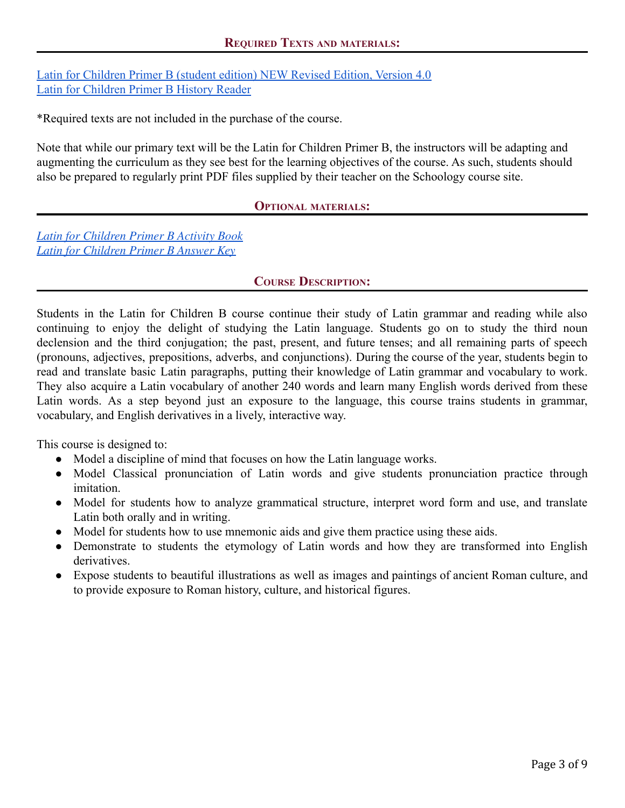[Latin for Children Primer B \(student edition\) NEW Revised Edition, Version 4.0](https://classicalacademicpress.com/collections/upper-grammar/products/latin-for-children-primer-b-student-edition) [Latin for Children Primer B History Reader](https://classicalacademicpress.com/collections/upper-grammar/products/latin-for-children-primer-b-history-reader)

\*Required texts are not included in the purchase of the course.

Note that while our primary text will be the Latin for Children Primer B, the instructors will be adapting and augmenting the curriculum as they see best for the learning objectives of the course. As such, students should also be prepared to regularly print PDF files supplied by their teacher on the Schoology course site.

# **OPTIONAL MATERIALS:**

*Latin for [Children](https://classicalacademicpress.com/collections/upper-grammar/products/latin-for-children-primer-b-activity-book) Primer B Activity Book Latin for [Children](http://classicalacademicpress.com/latin-for-children-primer-b-answer-key/#.V) Primer B Answer Key*

# **COURSE DESCRIPTION:**

Students in the Latin for Children B course continue their study of Latin grammar and reading while also continuing to enjoy the delight of studying the Latin language. Students go on to study the third noun declension and the third conjugation; the past, present, and future tenses; and all remaining parts of speech (pronouns, adjectives, prepositions, adverbs, and conjunctions). During the course of the year, students begin to read and translate basic Latin paragraphs, putting their knowledge of Latin grammar and vocabulary to work. They also acquire a Latin vocabulary of another 240 words and learn many English words derived from these Latin words. As a step beyond just an exposure to the language, this course trains students in grammar, vocabulary, and English derivatives in a lively, interactive way.

This course is designed to:

- Model a discipline of mind that focuses on how the Latin language works.
- Model Classical pronunciation of Latin words and give students pronunciation practice through imitation.
- Model for students how to analyze grammatical structure, interpret word form and use, and translate Latin both orally and in writing.
- Model for students how to use mnemonic aids and give them practice using these aids.
- Demonstrate to students the etymology of Latin words and how they are transformed into English derivatives.
- Expose students to beautiful illustrations as well as images and paintings of ancient Roman culture, and to provide exposure to Roman history, culture, and historical figures.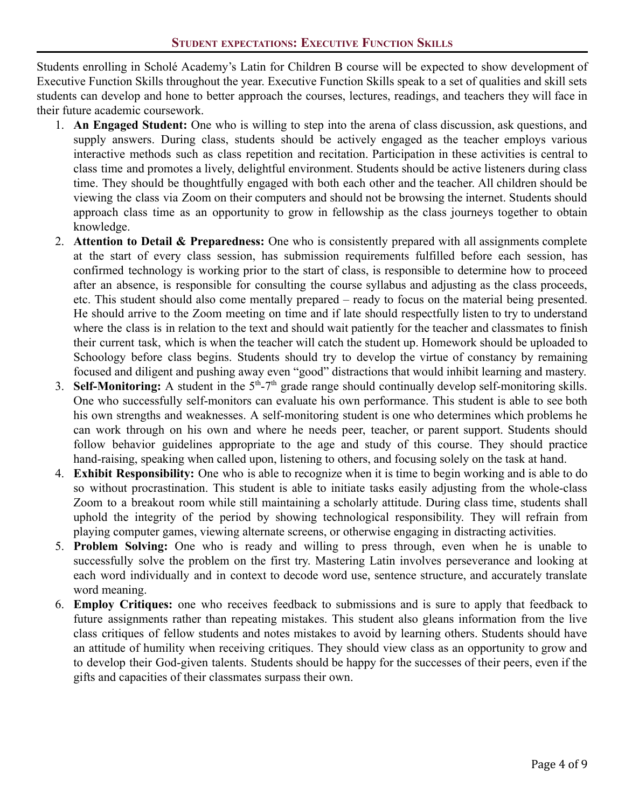Students enrolling in Scholé Academy's Latin for Children B course will be expected to show development of Executive Function Skills throughout the year. Executive Function Skills speak to a set of qualities and skill sets students can develop and hone to better approach the courses, lectures, readings, and teachers they will face in their future academic coursework.

- 1. **An Engaged Student:** One who is willing to step into the arena of class discussion, ask questions, and supply answers. During class, students should be actively engaged as the teacher employs various interactive methods such as class repetition and recitation. Participation in these activities is central to class time and promotes a lively, delightful environment. Students should be active listeners during class time. They should be thoughtfully engaged with both each other and the teacher. All children should be viewing the class via Zoom on their computers and should not be browsing the internet. Students should approach class time as an opportunity to grow in fellowship as the class journeys together to obtain knowledge.
- 2. **Attention to Detail & Preparedness:** One who is consistently prepared with all assignments complete at the start of every class session, has submission requirements fulfilled before each session, has confirmed technology is working prior to the start of class, is responsible to determine how to proceed after an absence, is responsible for consulting the course syllabus and adjusting as the class proceeds, etc. This student should also come mentally prepared – ready to focus on the material being presented. He should arrive to the Zoom meeting on time and if late should respectfully listen to try to understand where the class is in relation to the text and should wait patiently for the teacher and classmates to finish their current task, which is when the teacher will catch the student up. Homework should be uploaded to Schoology before class begins. Students should try to develop the virtue of constancy by remaining focused and diligent and pushing away even "good" distractions that would inhibit learning and mastery.
- 3. **Self-Monitoring:** A student in the  $5<sup>th</sup>-7<sup>th</sup>$  grade range should continually develop self-monitoring skills. One who successfully self-monitors can evaluate his own performance. This student is able to see both his own strengths and weaknesses. A self-monitoring student is one who determines which problems he can work through on his own and where he needs peer, teacher, or parent support. Students should follow behavior guidelines appropriate to the age and study of this course. They should practice hand-raising, speaking when called upon, listening to others, and focusing solely on the task at hand.
- 4. **Exhibit Responsibility:** One who is able to recognize when it is time to begin working and is able to do so without procrastination. This student is able to initiate tasks easily adjusting from the whole-class Zoom to a breakout room while still maintaining a scholarly attitude. During class time, students shall uphold the integrity of the period by showing technological responsibility. They will refrain from playing computer games, viewing alternate screens, or otherwise engaging in distracting activities.
- 5. **Problem Solving:** One who is ready and willing to press through, even when he is unable to successfully solve the problem on the first try. Mastering Latin involves perseverance and looking at each word individually and in context to decode word use, sentence structure, and accurately translate word meaning.
- 6. **Employ Critiques:** one who receives feedback to submissions and is sure to apply that feedback to future assignments rather than repeating mistakes. This student also gleans information from the live class critiques of fellow students and notes mistakes to avoid by learning others. Students should have an attitude of humility when receiving critiques. They should view class as an opportunity to grow and to develop their God-given talents. Students should be happy for the successes of their peers, even if the gifts and capacities of their classmates surpass their own.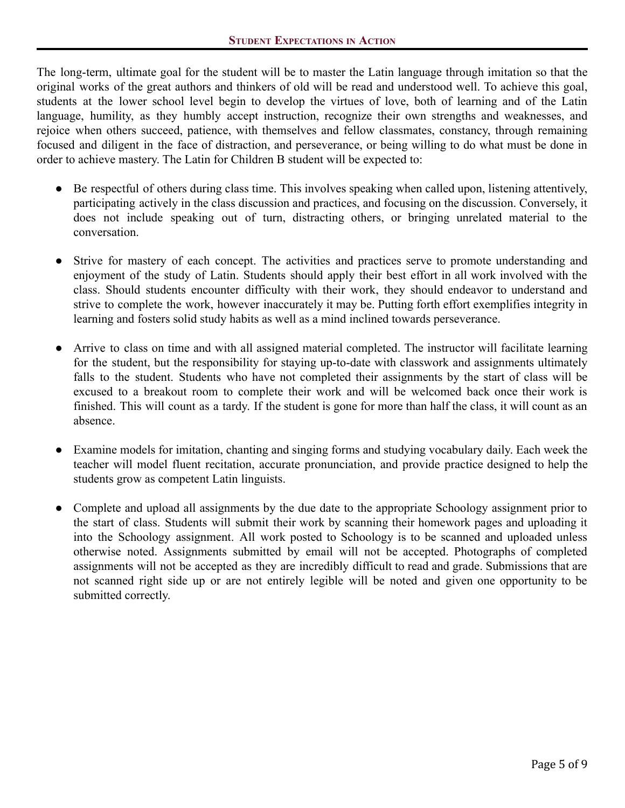The long-term, ultimate goal for the student will be to master the Latin language through imitation so that the original works of the great authors and thinkers of old will be read and understood well. To achieve this goal, students at the lower school level begin to develop the virtues of love, both of learning and of the Latin language, humility, as they humbly accept instruction, recognize their own strengths and weaknesses, and rejoice when others succeed, patience, with themselves and fellow classmates, constancy, through remaining focused and diligent in the face of distraction, and perseverance, or being willing to do what must be done in order to achieve mastery. The Latin for Children B student will be expected to:

- Be respectful of others during class time. This involves speaking when called upon, listening attentively, participating actively in the class discussion and practices, and focusing on the discussion. Conversely, it does not include speaking out of turn, distracting others, or bringing unrelated material to the conversation.
- Strive for mastery of each concept. The activities and practices serve to promote understanding and enjoyment of the study of Latin. Students should apply their best effort in all work involved with the class. Should students encounter difficulty with their work, they should endeavor to understand and strive to complete the work, however inaccurately it may be. Putting forth effort exemplifies integrity in learning and fosters solid study habits as well as a mind inclined towards perseverance.
- Arrive to class on time and with all assigned material completed. The instructor will facilitate learning for the student, but the responsibility for staying up-to-date with classwork and assignments ultimately falls to the student. Students who have not completed their assignments by the start of class will be excused to a breakout room to complete their work and will be welcomed back once their work is finished. This will count as a tardy. If the student is gone for more than half the class, it will count as an absence.
- Examine models for imitation, chanting and singing forms and studying vocabulary daily. Each week the teacher will model fluent recitation, accurate pronunciation, and provide practice designed to help the students grow as competent Latin linguists.
- Complete and upload all assignments by the due date to the appropriate Schoology assignment prior to the start of class. Students will submit their work by scanning their homework pages and uploading it into the Schoology assignment. All work posted to Schoology is to be scanned and uploaded unless otherwise noted. Assignments submitted by email will not be accepted. Photographs of completed assignments will not be accepted as they are incredibly difficult to read and grade. Submissions that are not scanned right side up or are not entirely legible will be noted and given one opportunity to be submitted correctly.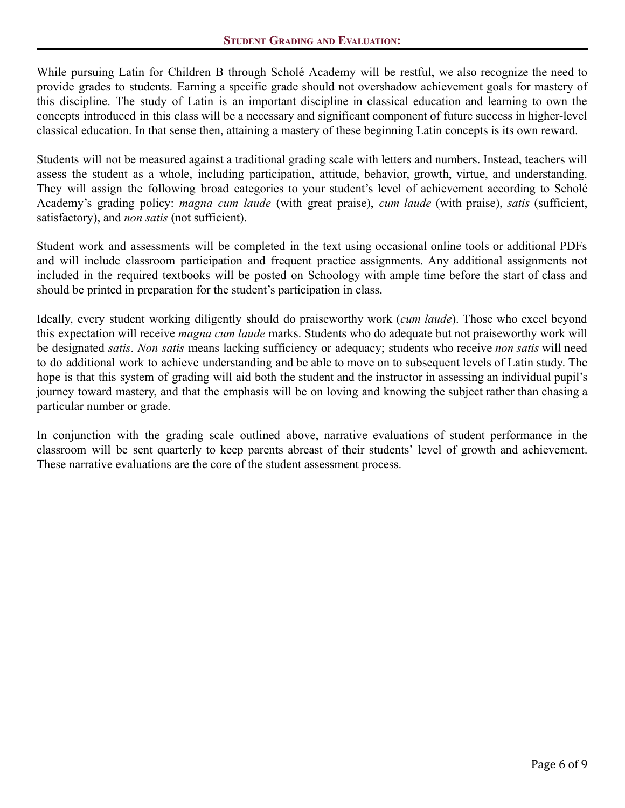While pursuing Latin for Children B through Scholé Academy will be restful, we also recognize the need to provide grades to students. Earning a specific grade should not overshadow achievement goals for mastery of this discipline. The study of Latin is an important discipline in classical education and learning to own the concepts introduced in this class will be a necessary and significant component of future success in higher-level classical education. In that sense then, attaining a mastery of these beginning Latin concepts is its own reward.

Students will not be measured against a traditional grading scale with letters and numbers. Instead, teachers will assess the student as a whole, including participation, attitude, behavior, growth, virtue, and understanding. They will assign the following broad categories to your student's level of achievement according to Scholé Academy's grading policy: *magna cum laude* (with great praise), *cum laude* (with praise), *satis* (sufficient, satisfactory), and *non satis* (not sufficient).

Student work and assessments will be completed in the text using occasional online tools or additional PDFs and will include classroom participation and frequent practice assignments. Any additional assignments not included in the required textbooks will be posted on Schoology with ample time before the start of class and should be printed in preparation for the student's participation in class.

Ideally, every student working diligently should do praiseworthy work (*cum laude*). Those who excel beyond this expectation will receive *magna cum laude* marks. Students who do adequate but not praiseworthy work will be designated *satis*. *Non satis* means lacking sufficiency or adequacy; students who receive *non satis* will need to do additional work to achieve understanding and be able to move on to subsequent levels of Latin study. The hope is that this system of grading will aid both the student and the instructor in assessing an individual pupil's journey toward mastery, and that the emphasis will be on loving and knowing the subject rather than chasing a particular number or grade.

In conjunction with the grading scale outlined above, narrative evaluations of student performance in the classroom will be sent quarterly to keep parents abreast of their students' level of growth and achievement. These narrative evaluations are the core of the student assessment process.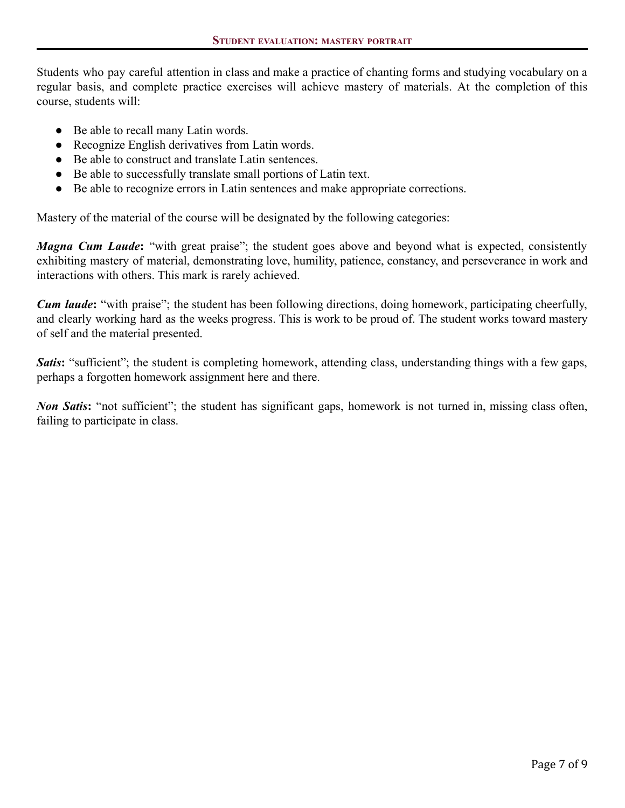Students who pay careful attention in class and make a practice of chanting forms and studying vocabulary on a regular basis, and complete practice exercises will achieve mastery of materials. At the completion of this course, students will:

- Be able to recall many Latin words.
- Recognize English derivatives from Latin words.
- Be able to construct and translate Latin sentences.
- Be able to successfully translate small portions of Latin text.
- Be able to recognize errors in Latin sentences and make appropriate corrections.

Mastery of the material of the course will be designated by the following categories:

*Magna Cum Laude***:** "with great praise"; the student goes above and beyond what is expected, consistently exhibiting mastery of material, demonstrating love, humility, patience, constancy, and perseverance in work and interactions with others. This mark is rarely achieved.

*Cum laude***:** "with praise"; the student has been following directions, doing homework, participating cheerfully, and clearly working hard as the weeks progress. This is work to be proud of. The student works toward mastery of self and the material presented.

*Satis***:** "sufficient"; the student is completing homework, attending class, understanding things with a few gaps, perhaps a forgotten homework assignment here and there.

*Non Satis***:** "not sufficient"; the student has significant gaps, homework is not turned in, missing class often, failing to participate in class.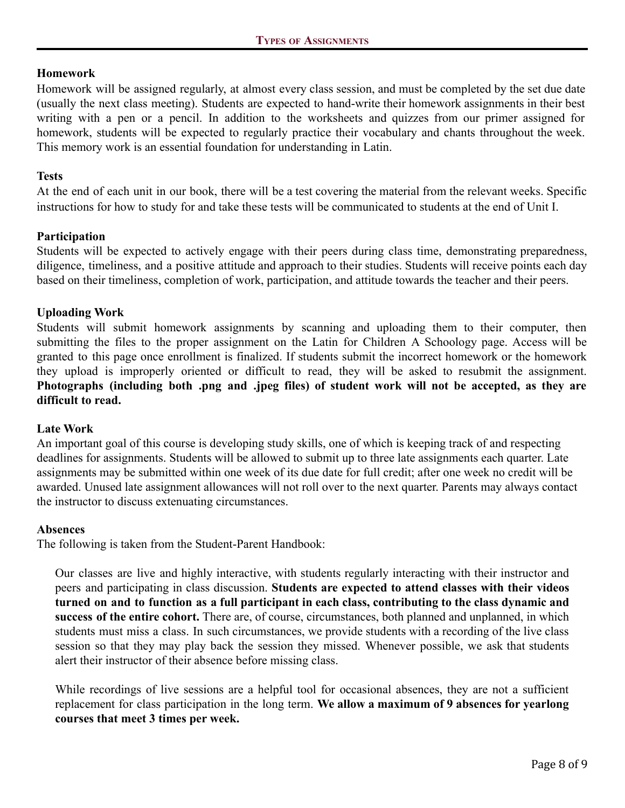# **Homework**

Homework will be assigned regularly, at almost every class session, and must be completed by the set due date (usually the next class meeting). Students are expected to hand-write their homework assignments in their best writing with a pen or a pencil. In addition to the worksheets and quizzes from our primer assigned for homework, students will be expected to regularly practice their vocabulary and chants throughout the week. This memory work is an essential foundation for understanding in Latin.

# **Tests**

At the end of each unit in our book, there will be a test covering the material from the relevant weeks. Specific instructions for how to study for and take these tests will be communicated to students at the end of Unit I.

# **Participation**

Students will be expected to actively engage with their peers during class time, demonstrating preparedness, diligence, timeliness, and a positive attitude and approach to their studies. Students will receive points each day based on their timeliness, completion of work, participation, and attitude towards the teacher and their peers.

# **Uploading Work**

Students will submit homework assignments by scanning and uploading them to their computer, then submitting the files to the proper assignment on the Latin for Children A Schoology page. Access will be granted to this page once enrollment is finalized. If students submit the incorrect homework or the homework they upload is improperly oriented or difficult to read, they will be asked to resubmit the assignment. **Photographs (including both .png and .jpeg files) of student work will not be accepted, as they are difficult to read.**

# **Late Work**

An important goal of this course is developing study skills, one of which is keeping track of and respecting deadlines for assignments. Students will be allowed to submit up to three late assignments each quarter. Late assignments may be submitted within one week of its due date for full credit; after one week no credit will be awarded. Unused late assignment allowances will not roll over to the next quarter. Parents may always contact the instructor to discuss extenuating circumstances.

# **Absences**

The following is taken from the Student-Parent Handbook:

Our classes are live and highly interactive, with students regularly interacting with their instructor and peers and participating in class discussion. **Students are expected to attend classes with their videos** turned on and to function as a full participant in each class, contributing to the class dynamic and **success of the entire cohort.** There are, of course, circumstances, both planned and unplanned, in which students must miss a class. In such circumstances, we provide students with a recording of the live class session so that they may play back the session they missed. Whenever possible, we ask that students alert their instructor of their absence before missing class.

While recordings of live sessions are a helpful tool for occasional absences, they are not a sufficient replacement for class participation in the long term. **We allow a maximum of 9 absences for yearlong courses that meet 3 times per week.**